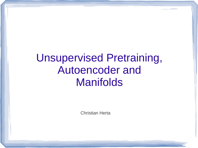## Unsupervised Pretraining, Autoencoder and Manifolds

Christian Herta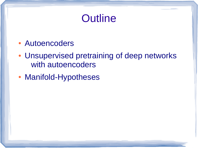## **Outline**

- Autoencoders
- Unsupervised pretraining of deep networks with autoencoders
- Manifold-Hypotheses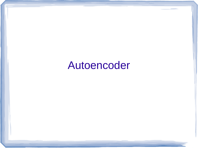### Autoencoder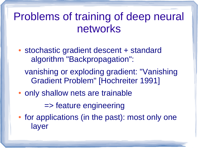### Problems of training of deep neural networks

- stochastic gradient descent + standard algorithm "Backpropagation":
	- vanishing or exploding gradient: "Vanishing Gradient Problem" [Hochreiter 1991]
- only shallow nets are trainable

=> feature engineering

• for applications (in the past): most only one layer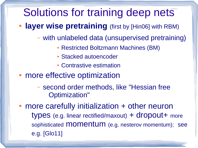### Solutions for training deep nets

• **layer wise pretraining** (first by [Hin06] with RBM)

– with unlabeled data (unsupervised pretraining)

- Restricted Boltzmann Machines (BM)
- Stacked autoencoder
- Contrastive estimation
- more effective optimization

– second order methods, like "Hessian free Optimization"

• more carefully initialization + other neuron types (e.g. linear rectified/maxout) + dropout+ more sophisticated **momentum** (e.g. nesterov momentum); see e.g. [Glo11]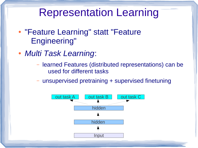### Representation Learning

- "Feature Learning" statt "Feature Engineering"
- *Multi Task Learning*:
	- learned Features (distributed representations) can be used for different tasks
	- unsupervised pretraining + supervised finetuning

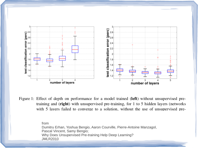

Figure 1: Effect of depth on performance for a model trained (left) without unsupervised pretraining and (right) with unsupervised pre-training, for 1 to 5 hidden layers (networks with 5 layers failed to converge to a solution, without the use of unsupervised pre-

> from Dumitru Erhan, Yoshua Bengio, Aaron Courville, Pierre-Antoine Manzagol, Pascal Vincent, Samy Bengio; Why Does Unsupervised Pre-training Help Deep Learning? JMLR2010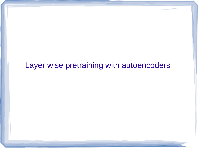#### Layer wise pretraining with autoencoders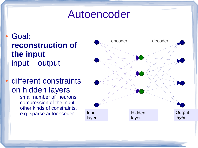### Autoencoder

Goal: **reconstruction of the input**  $input = output$ 

- different constraints on hidden layers
	- small number of neurons: compression of the input
	- other kinds of constraints, e.g. sparse autoencoder.

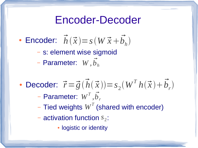### Encoder-Decoder

• **Encoder:** 
$$
\vec{h}(\vec{x}) = s(W\vec{x} + \vec{b}_h)
$$

– s: element wise sigmoid

– Parameter: *W ,b h*

- $\vec{r} = \vec{g}$  (  $\vec{h}$  $\vec{h}(\vec{x})$ ) =  $s_2(W^T h(\vec{x}) + \vec{b})$  $\vec{b}$ • Decoder:  $\vec{r} = \vec{g}(h(\vec{x})) = s_2(W^T h(\vec{x}) + b_r)$  $W^T$ ,  $\vec{b}$ – Parameter:  $W^I$  , $b_{r}$ 
	- $-$  Tied weights  $W^T$  (shared with encoder)
	- $-$  activation function  $s_2$ :
		- logistic or identity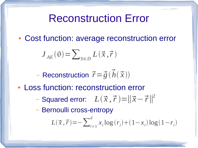### Reconstruction Error

• Cost function: average reconstruction error

$$
J_{AE}(\theta) = \sum_{\vec{x} \in D} L(\vec{x}, \vec{r})
$$

- Reconstruction  $\vec{r} = \vec{g}(\vec{h}(\vec{x}))$ 

- Loss function: reconstruction error
	- Squared error:  $L(\vec{x}, \vec{r}) = ||\vec{x} \vec{r}||^2$
	- Bernoulli cross-entropy

$$
L(\vec{x},\vec{r}){=}{-}\sum\nolimits_{i=1}^d x_i\log\left(r_i\right){+}(1{-}x_i)\log\left(1{-}r_i\right)
$$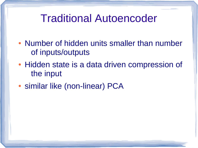### Traditional Autoencoder

- Number of hidden units smaller than number of inputs/outputs
- Hidden state is a data driven compression of the input
- similar like (non-linear) PCA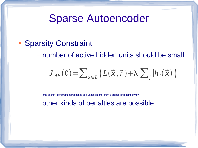### Sparse Autoencoder

• Sparsity Constraint

– number of active hidden units should be small

$$
J_{AE}(\theta) = \sum_{\vec{x} \in D} \left( L(\vec{x}, \vec{r}) + \lambda \sum_{j} |h_{j}(\vec{x})| \right)
$$

(this sparsity constraint corresponds to a Lapacian prior from a probabilistic point of view)

– other kinds of penalties are possible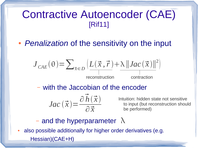#### Contractive Autoencoder (CAE) [Rif11]

• *Penalization* of the sensitivity on the input

$$
J_{CAE}(\theta) = \sum_{\vec{x} \in D} \left( \frac{L(\vec{x}, \vec{r}) + \lambda ||Jac(\vec{x})||^2}{\frac{1}{\text{reconstruction}}} \right)
$$

– with the Jaccobian of the encoder

$$
Jac\left(\vec{x}\right) = \frac{\partial \vec{h}\left(\vec{x}\right)}{\partial \vec{x}}
$$

Intuition: hidden state not sensitive to input (but reconstruction should be performed)

- and the hyperparameter  $\lambda$
- also possible additionally for higher order derivatives (e.g. Hessian)(CAE+H)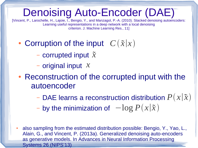### Denoising Auto-Encoder (DAE)

[Vincent, P., Larochelle, H., Lajoie, I., Bengio, Y., and Manzagol, P.-A. (2010). Stacked denoising autoencoders: Learning useful representations in a deep network with a local denoising criterion. J. Machine Learning Res., 11]

- Corruption of the input  $C(\tilde{x}|x)$ 
	- corrupted input *x*
	- original input *x*
- Reconstruction of the corrupted input with the autoencoder
	- DAE learns a reconstruction distribution *P x*∣*x*
	- $-$  by the minimization of  $-\log P(x|\tilde{x})$
- also sampling from the estimated distribution possible: Bengio, Y., Yao, L., Alain, G., and Vincent, P. (2013a). Generalized denoising auto-encoders as generative models. In Advances in Neural Information Processing Systems 26 (NIPS'13)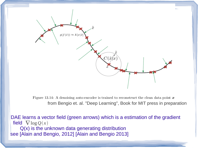

Figure 13.14: A denoising auto-encoder is trained to reconstruct the clean data point  $x$ from Bengio et. al. "Deep Learning", Book for MIT press in preparation

DAE learns a vector field (green arrows) which is a estimation of the gradient | field  $\nabla$   $\log Q(x)$  Q(x) is the unknown data generating distribution see [Alain and Bengio, 2012] [Alain and Bengio 2013]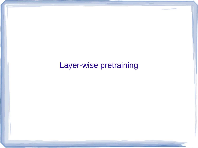Layer-wise pretraining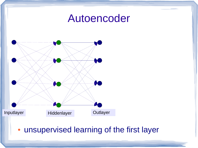#### Autoencoder



#### • unsupervised learning of the first layer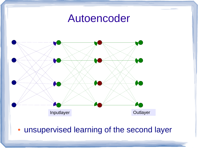### Autoencoder



#### • unsupervised learning of the second layer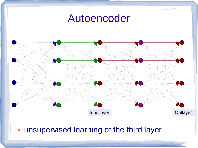



• unsupervised learning of the third layer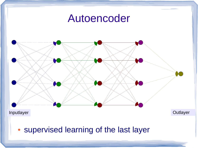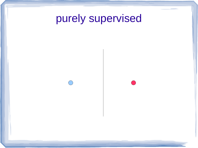purely supervised



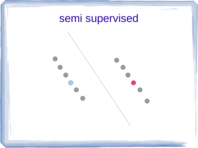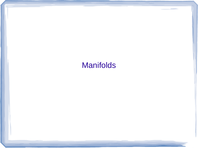#### Manifolds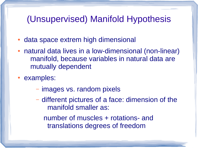#### (Unsupervised) Manifold Hypothesis

- data space extrem high dimensional
- natural data lives in a low-dimensional (non-linear) manifold, because variables in natural data are mutually dependent
- examples:
	- images vs. random pixels
	- different pictures of a face: dimension of the manifold smaller as:

number of muscles + rotations- and translations degrees of freedom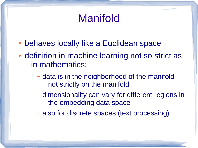## Manifold

- behaves locally like a Euclidean space
- definition in machine learning not so strict as in mathematics:
	- data is in the neighborhood of the manifold not strictly on the manifold
	- dimensionality can vary for different regions in the embedding data space
	- also for discrete spaces (text processing)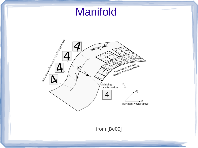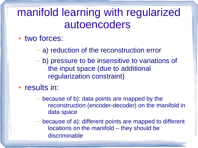## manifold learning with regularized autoencoders

- two forces:
	- a) reduction of the reconstruction error
	- b) pressure to be insensitive to variations of the input space (due to additional regularization constraint)
- results in:
	- because of b): data points are mapped by the reconstruction (encoder-decoder) on the manifold in data space
	- because of a): different points are mapped to different locations on the manifold – they should be discriminable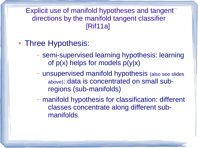Explicit use of manifold hypotheses and tangent directions by the manifold tangent classifier [Rif11a]

- Three Hypothesis:
	- semi-supervised learning hypothesis: learning of  $p(x)$  helps for models  $p(y|x)$
	- unsupervised manifold hypothesis (also see slides above): data is concentrated on small subregions (sub-manifolds)
	- manifold hypothesis for classification: different classes concentrate along different submanifolds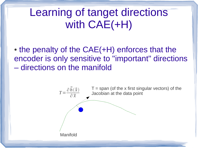# Learning of tanget directions with CAE(+H)

 $\bullet$  the penalty of the CAE(+H) enforces that the encoder is only sensitive to "important" directions – directions on the manifold

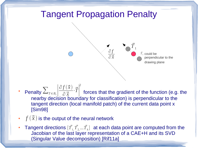### Tangent Propagation Penalty



- Penalty  $\sum_{T \in B_{\mathsf{x}}}\left|\frac{\mathcal{O}\left(T\left(X\right)\right)}{\partial\vec{\mathsf{x}}}\cdot\vec{T}\right|$  forces that the gradient of the function (e.g. the nearby decision boundary for classification) is perpendicular to the tangent direction (local manifold patch) of the current data point x [Sim98]  $\partial f(\vec{x})$  $\left[\frac{X}{\partial \vec{X}} \cdot \vec{T}\right]$ 2
- $f(\vec{x})$  is the output of the neural network
- Tangent directions  $[\vec{T}_{1,1}, \vec{T}_{2,2} ... \vec{T}_{k}]$  at each data point are computed from the Jacobian of the last layer representation of a CAE+H and its SVD (Singular Value decomposition) [Rif11a]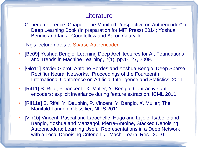#### **Literature**

General reference: Chaper "The Manifold Perspective on Autoencoder" of Deep Learning Book (in preparation for MIT Press) 2014; Yoshua Bengio and Ian J. Goodfellow and Aaron Courville

Ng's lecture notes to [Sparse Autoencoder](http://web.stanford.edu/class/cs294a/handouts.html)

- [Be09] Yoshua Bengio, Learning Deep Architectures for AI, Foundations and Trends in Machine Learning, 2(1), pp.1-127, 2009.
- [Glo11] Xavier Glorot, Antoine Bordes and Yoshua Bengio, Deep Sparse Rectifier Neural Networks, Proceedings of the Fourteenth International Conference on Artificial Intelligence and Statistics, 2011
- [Rif11] S. Rifal, P. Vincent, X. Muller, Y. Bengio; Contractive autoencoders: explicit invariance during feature extraction. ICML 2011
- [Rif11a] S. Rifal, Y. Dauphin, P. Vincent, Y. Bengio, X. Muller; The Manifold Tangent Classifier, NIPS 2011
- [Vin10] Vincent, Pascal and Larochelle, Hugo and Lajoie, Isabelle and Bengio, Yoshua and Manzagol, Pierre-Antoine, Stacked Denoising Autoencoders: Learning Useful Representations in a Deep Network with a Local Denoising Criterion, J. Mach. Learn. Res., 2010